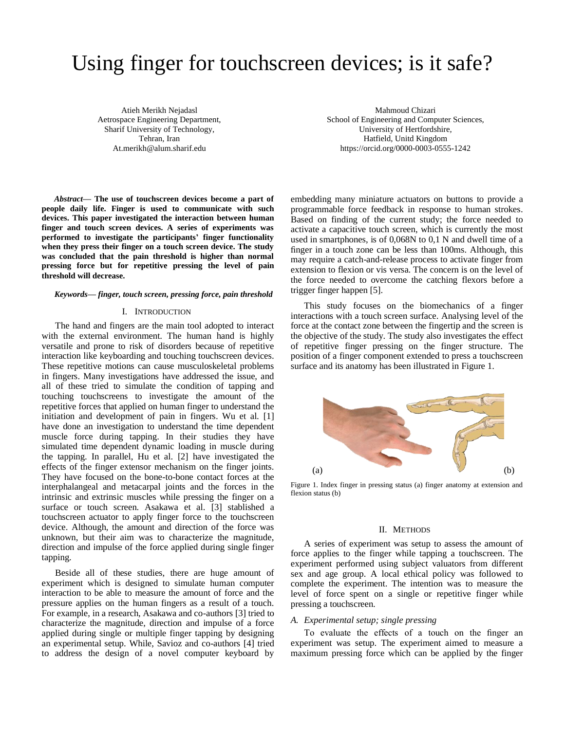# Using finger for touchscreen devices; is it safe?

Atieh Merikh Nejadasl Aetrospace Engineering Department, Sharif University of Technology, Tehran, Iran At.merikh@alum.sharif.edu

Mahmoud Chizari School of Engineering and Computer Sciences, University of Hertfordshire, Hatfield, Unitd Kingdom https://orcid.org/0000-0003-0555-1242

*Abstract***— The use of touchscreen devices become a part of people daily life. Finger is used to communicate with such devices. This paper investigated the interaction between human finger and touch screen devices. A series of experiments was performed to investigate the participants' finger functionality when they press their finger on a touch screen device. The study was concluded that the pain threshold is higher than normal pressing force but for repetitive pressing the level of pain threshold will decrease.** 

#### *Keywords— finger, touch screen, pressing force, pain threshold*

## I. INTRODUCTION

The hand and fingers are the main tool adopted to interact with the external environment. The human hand is highly versatile and prone to risk of disorders because of repetitive interaction like keyboarding and touching touchscreen devices. These repetitive motions can cause musculoskeletal problems in fingers. Many investigations have addressed the issue, and all of these tried to simulate the condition of tapping and touching touchscreens to investigate the amount of the repetitive forces that applied on human finger to understand the initiation and development of pain in fingers. Wu et al. [1] have done an investigation to understand the time dependent muscle force during tapping. In their studies they have simulated time dependent dynamic loading in muscle during the tapping. In parallel, Hu et al. [2] have investigated the effects of the finger extensor mechanism on the finger joints. They have focused on the bone-to-bone contact forces at the interphalangeal and metacarpal joints and the forces in the intrinsic and extrinsic muscles while pressing the finger on a surface or touch screen. Asakawa et al. [3] stablished a touchscreen actuator to apply finger force to the touchscreen device. Although, the amount and direction of the force was unknown, but their aim was to characterize the magnitude, direction and impulse of the force applied during single finger tapping.

Beside all of these studies, there are huge amount of experiment which is designed to simulate human computer interaction to be able to measure the amount of force and the pressure applies on the human fingers as a result of a touch. For example, in a research, Asakawa and co-authors [3] tried to characterize the magnitude, direction and impulse of a force applied during single or multiple finger tapping by designing an experimental setup. While, Savioz and co-authors [4] tried to address the design of a novel computer keyboard by

embedding many miniature actuators on buttons to provide a programmable force feedback in response to human strokes. Based on finding of the current study; the force needed to activate a capacitive touch screen, which is currently the most used in smartphones, is of 0,068N to 0,1 N and dwell time of a finger in a touch zone can be less than 100ms. Although, this may require a catch-and-release process to activate finger from extension to flexion or vis versa. The concern is on the level of the force needed to overcome the catching flexors before a trigger finger happen [5].

This study focuses on the biomechanics of a finger interactions with a touch screen surface. Analysing level of the force at the contact zone between the fingertip and the screen is the objective of the study. The study also investigates the effect of repetitive finger pressing on the finger structure. The position of a finger component extended to press a touchscreen surface and its anatomy has been illustrated in Figure 1.



Figure 1. Index finger in pressing status (a) finger anatomy at extension and flexion status (b)

#### II. METHODS

A series of experiment was setup to assess the amount of force applies to the finger while tapping a touchscreen. The experiment performed using subject valuators from different sex and age group. A local ethical policy was followed to complete the experiment. The intention was to measure the level of force spent on a single or repetitive finger while pressing a touchscreen.

## *A. Experimental setup; single pressing*

To evaluate the effects of a touch on the finger an experiment was setup. The experiment aimed to measure a maximum pressing force which can be applied by the finger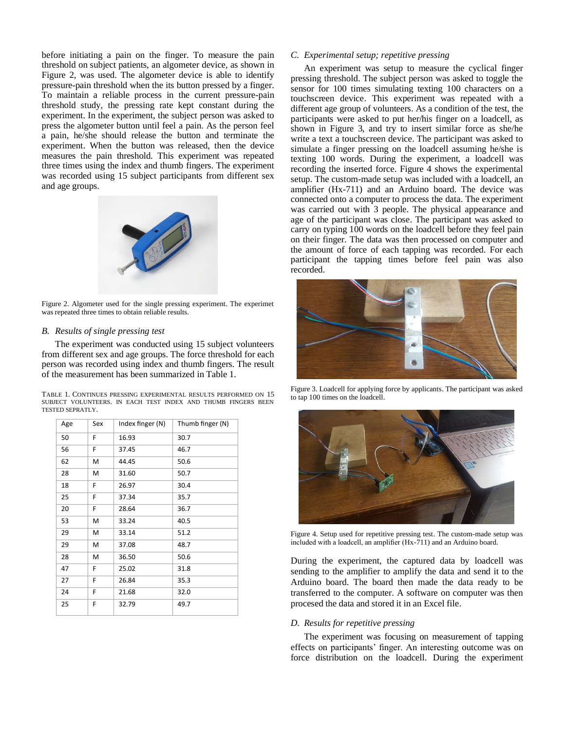before initiating a pain on the finger. To measure the pain threshold on subject patients, an algometer device, as shown in Figure 2, was used. The algometer device is able to identify pressure-pain threshold when the its button pressed by a finger. To maintain a reliable process in the current pressure-pain threshold study, the pressing rate kept constant during the experiment. In the experiment, the subject person was asked to press the algometer button until feel a pain. As the person feel a pain, he/she should release the button and terminate the experiment. When the button was released, then the device measures the pain threshold. This experiment was repeated three times using the index and thumb fingers. The experiment was recorded using 15 subject participants from different sex and age groups.



Figure 2. Algometer used for the single pressing experiment. The experimet was repeated three times to obtain reliable results.

## *B. Results of single pressing test*

The experiment was conducted using 15 subject volunteers from different sex and age groups. The force threshold for each person was recorded using index and thumb fingers. The result of the measurement has been summarized in Table 1.

|                         | TABLE 1. CONTINUES PRESSING EXPERIMENTAL RESULTS PERFORMED ON 15 |  |  |  |  |  |  |  |
|-------------------------|------------------------------------------------------------------|--|--|--|--|--|--|--|
|                         | SUBJECT VOLUNTEERS. IN EACH TEST INDEX AND THUMB FINGERS BEEN    |  |  |  |  |  |  |  |
| <b>TESTED SEPRATLY.</b> |                                                                  |  |  |  |  |  |  |  |

| Age | Sex | Index finger (N) | Thumb finger (N) |
|-----|-----|------------------|------------------|
| 50  | F   | 16.93            | 30.7             |
| 56  | F   | 37.45            | 46.7             |
| 62  | Μ   | 44.45            | 50.6             |
| 28  | M   | 31.60            | 50.7             |
| 18  | F   | 26.97            | 30.4             |
| 25  | F   | 37.34            | 35.7             |
| 20  | F   | 28.64            | 36.7             |
| 53  | M   | 33.24            | 40.5             |
| 29  | M   | 33.14            | 51.2             |
| 29  | M   | 37.08            | 48.7             |
| 28  | M   | 36.50            | 50.6             |
| 47  | F   | 25.02            | 31.8             |
| 27  | F   | 26.84            | 35.3             |
| 24  | F   | 21.68            | 32.0             |
| 25  | F   | 32.79            | 49.7             |

## *C. Experimental setup; repetitive pressing*

An experiment was setup to measure the cyclical finger pressing threshold. The subject person was asked to toggle the sensor for 100 times simulating texting 100 characters on a touchscreen device. This experiment was repeated with a different age group of volunteers. As a condition of the test, the participants were asked to put her/his finger on a loadcell, as shown in Figure 3, and try to insert similar force as she/he write a text a touchscreen device. The participant was asked to simulate a finger pressing on the loadcell assuming he/she is texting 100 words. During the experiment, a loadcell was recording the inserted force. Figure 4 shows the experimental setup. The custom-made setup was included with a loadcell, an amplifier (Hx-711) and an Arduino board. The device was connected onto a computer to process the data. The experiment was carried out with 3 people. The physical appearance and age of the participant was close. The participant was asked to carry on typing 100 words on the loadcell before they feel pain on their finger. The data was then processed on computer and the amount of force of each tapping was recorded. For each participant the tapping times before feel pain was also recorded.



Figure 3. Loadcell for applying force by applicants. The participant was asked to tap 100 times on the loadcell.



Figure 4. Setup used for repetitive pressing test. The custom-made setup was included with a loadcell, an amplifier (Hx-711) and an Arduino board.

During the experiment, the captured data by loadcell was sending to the amplifier to amplify the data and send it to the Arduino board. The board then made the data ready to be transferred to the computer. A software on computer was then procesed the data and stored it in an Excel file.

## *D. Results for repetitive pressing*

The experiment was focusing on measurement of tapping effects on participants' finger. An interesting outcome was on force distribution on the loadcell. During the experiment